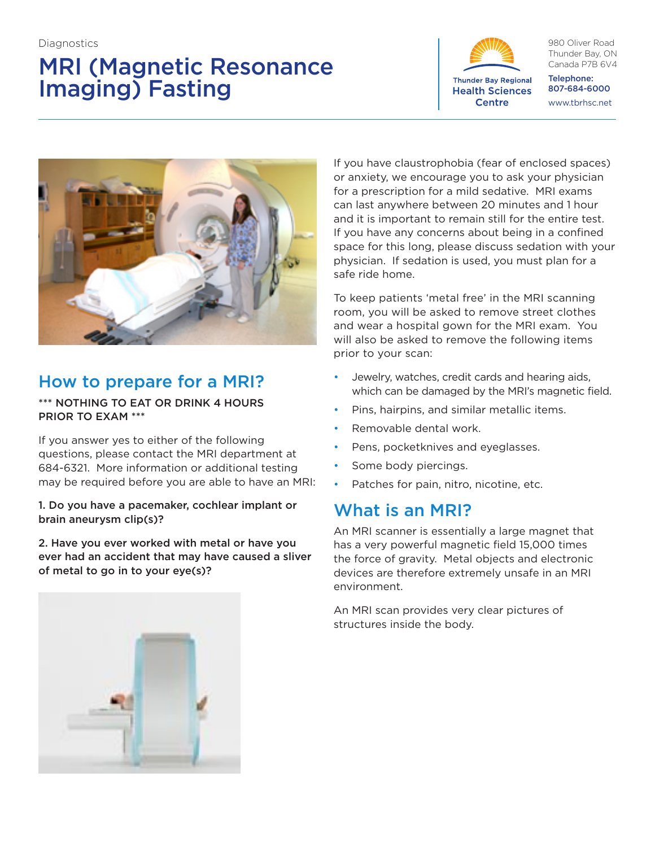# MRI (Magnetic Resonance Imaging) Fasting



980 Oliver Road Thunder Bay, ON Canada P7B 6V4

Telephone: 807-684-6000 www.tbrhsc.net



## How to prepare for a MRI?

\*\*\* NOTHING TO EAT OR DRINK 4 HOURS PRIOR TO EXAM \*\*\*

If you answer yes to either of the following questions, please contact the MRI department at 684-6321. More information or additional testing may be required before you are able to have an MRI:

1. Do you have a pacemaker, cochlear implant or brain aneurysm clip(s)?

2. Have you ever worked with metal or have you ever had an accident that may have caused a sliver of metal to go in to your eye(s)?

If you have claustrophobia (fear of enclosed spaces) or anxiety, we encourage you to ask your physician for a prescription for a mild sedative. MRI exams can last anywhere between 20 minutes and 1 hour and it is important to remain still for the entire test. If you have any concerns about being in a confined space for this long, please discuss sedation with your physician. If sedation is used, you must plan for a safe ride home.

To keep patients 'metal free' in the MRI scanning room, you will be asked to remove street clothes and wear a hospital gown for the MRI exam. You will also be asked to remove the following items prior to your scan:

- Jewelry, watches, credit cards and hearing aids, which can be damaged by the MRI's magnetic field.
- Pins, hairpins, and similar metallic items.
- Removable dental work.
- Pens, pocketknives and eyeglasses.
- Some body piercings.
- Patches for pain, nitro, nicotine, etc.

## What is an MRI?

An MRI scanner is essentially a large magnet that has a very powerful magnetic field 15,000 times the force of gravity. Metal objects and electronic devices are therefore extremely unsafe in an MRI environment.

An MRI scan provides very clear pictures of structures inside the body.